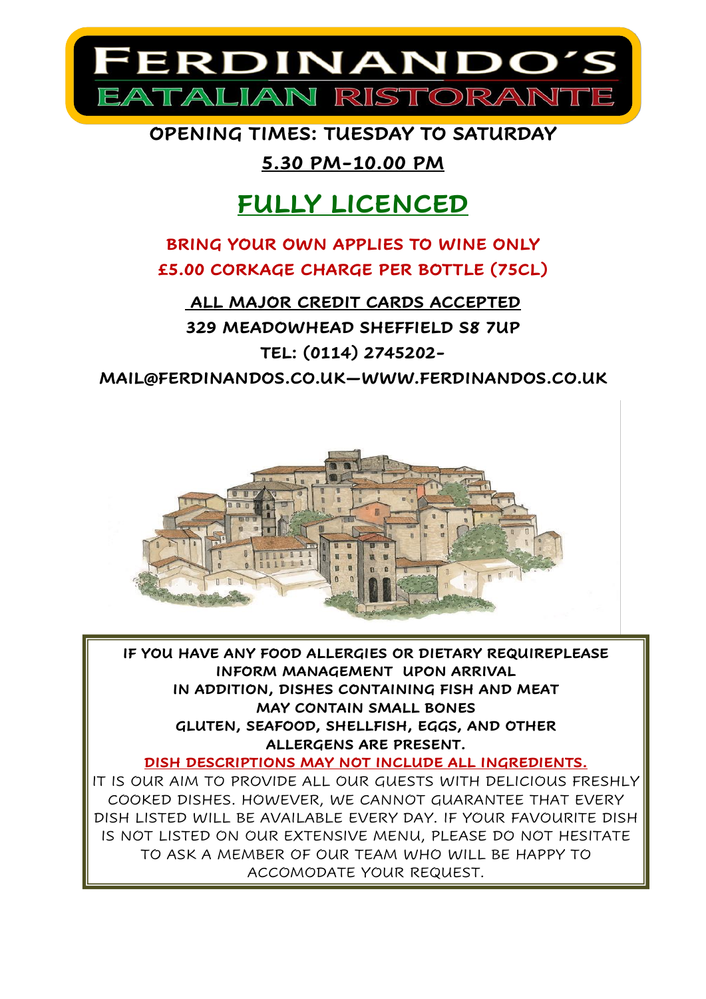

**OPENING TIMES: TUESDAY TO SATURDAY** 

## **5.30 PM-10.00 PM**

# **FULLY LICENCED**

## **BRING YOUR OWN APPLIES TO WINE ONLY £5.00 CORKAGE CHARGE PER BOTTLE (75CL)**

**ALL MAJOR CREDIT CARDS ACCEPTED 329 MEADOWHEAD SHEFFIELD S8 7UP TEL: (0114) 2745202-** 

**MAIL@FERDINANDOS.CO.UK[—WWW.FERDINANDOS.CO.UK](http://www.ferdinandos.co.uk/)**



**IF YOU HAVE ANY FOOD ALLERGIES OR DIETARY REQUIREPLEASE INFORM MANAGEMENT UPON ARRIVAL IN ADDITION, DISHES CONTAINING FISH AND MEAT MAY CONTAIN SMALL BONES GLUTEN, SEAFOOD, SHELLFISH, EGGS, AND OTHER ALLERGENS ARE PRESENT.** 

**DISH DESCRIPTIONS MAY NOT INCLUDE ALL INGREDIENTS.** 

IT IS OUR AIM TO PROVIDE ALL OUR GUESTS WITH DELICIOUS FRESHLY COOKED DISHES. HOWEVER, WE CANNOT GUARANTEE THAT EVERY DISH LISTED WILL BE AVAILABLE EVERY DAY. IF YOUR FAVOURITE DISH IS NOT LISTED ON OUR EXTENSIVE MENU, PLEASE DO NOT HESITATE TO ASK A MEMBER OF OUR TEAM WHO WILL BE HAPPY TO ACCOMODATE YOUR REQUEST.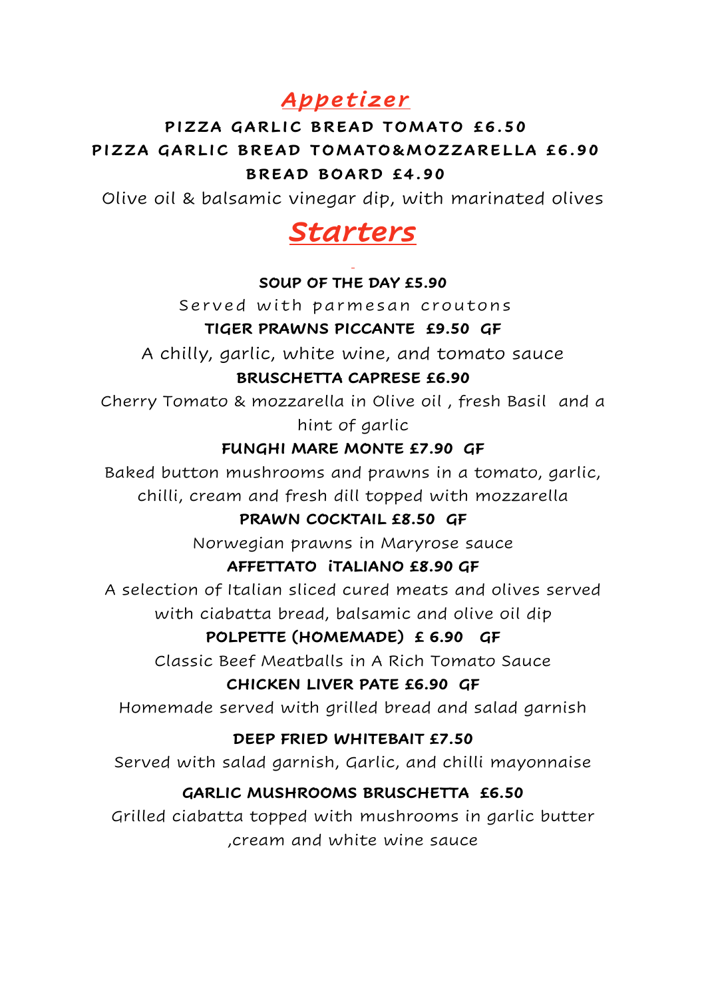## *Appe t izer*

## **PIZZA GARLIC BREAD TOMATO £6.50** PIZZA GARLIC BREAD TOMATO&MOZZARELLA £6.90 **BREAD BOARD £4.90**

Olive oil & balsamic vinegar dip, with marinated olives

# *Starters*

#### **SOUP OF THE DAY £5.90**

Served with parmesan croutons

#### **TIGER PRAWNS PICCANTE £9.50 GF**

A chilly, garlic, white wine, and tomato sauce

#### **BRUSCHETTA CAPRESE £6.90**

Cherry Tomato & mozzarella in Olive oil , fresh Basil and a hint of garlic

#### **FUNGHI MARE MONTE £7.90 GF**

Baked button mushrooms and prawns in a tomato, garlic, chilli, cream and fresh dill topped with mozzarella

#### **PRAWN COCKTAIL £8.50 GF**

Norwegian prawns in Maryrose sauce

#### **AFFETTATO iTALIANO £8.90 GF**

A selection of Italian sliced cured meats and olives served with ciabatta bread, balsamic and olive oil dip

### **POLPETTE (HOMEMADE) £ 6.90 GF**

Classic Beef Meatballs in A Rich Tomato Sauce

#### **CHICKEN LIVER PATE £6.90 GF**

Homemade served with grilled bread and salad garnish

### **DEEP FRIED WHITEBAIT £7.50**

Served with salad garnish, Garlic, and chilli mayonnaise

### **GARLIC MUSHROOMS BRUSCHETTA £6.50**

Grilled ciabatta topped with mushrooms in garlic butter ,cream and white wine sauce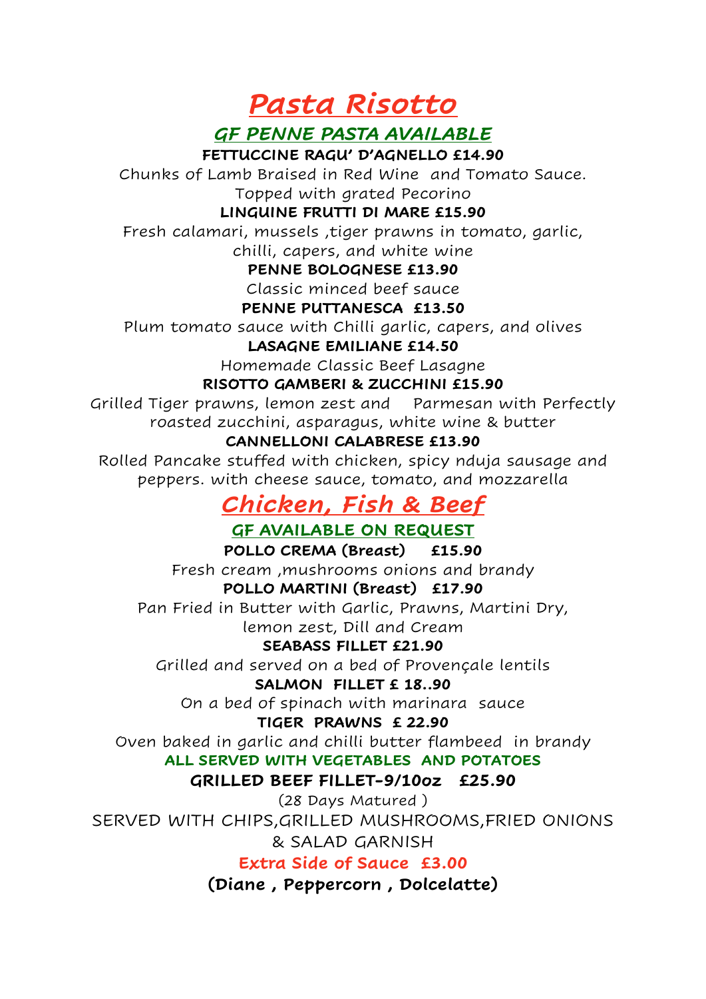*Pasta Risotto* 

*GF PENNE PASTA AVAILABLE*

**FETTUCCINE RAGU' D'AGNELLO £14.90** 

Chunks of Lamb Braised in Red Wine and Tomato Sauce. Topped with grated Pecorino

#### **LINGUINE FRUTTI DI MARE £15.90**

Fresh calamari, mussels ,tiger prawns in tomato, garlic, chilli, capers, and white wine

#### **PENNE BOLOGNESE £13.90**

Classic minced beef sauce

#### **PENNE PUTTANESCA £13.50**

Plum tomato sauce with Chilli garlic, capers, and olives

#### **LASAGNE EMILIANE £14.50**

Homemade Classic Beef Lasagne

#### **RISOTTO GAMBERI & ZUCCHINI £15.90**

Grilled Tiger prawns, lemon zest and Parmesan with Perfectly roasted zucchini, asparagus, white wine & butter

#### **CANNELLONI CALABRESE £13.90**

Rolled Pancake stuffed with chicken, spicy nduja sausage and peppers. with cheese sauce, tomato, and mozzarella

## *Chicken, Fish & Beef*

### **GF AVAILABLE ON REQUEST**

**POLLO CREMA (Breast) £15.90**  Fresh cream ,mushrooms onions and brandy **POLLO MARTINI (Breast) £17.90**  Pan Fried in Butter with Garlic, Prawns, Martini Dry, lemon zest, Dill and Cream

#### **SEABASS FILLET £21.90**

Grilled and served on a bed of Provençale lentils

#### **SALMON FILLET £ 18..90**

On a bed of spinach with marinara sauce

#### **TIGER PRAWNS £ 22.90**

Oven baked in garlic and chilli butter flambeed in brandy

#### **ALL SERVED WITH VEGETABLES AND POTATOES**

### **GRILLED BEEF FILLET-9/10oz £25.90**

(28 Days Matured ) SERVED WITH CHIPS,GRILLED MUSHROOMS,FRIED ONIONS & SALAD GARNISH

**Extra Side of Sauce £3.00** 

**(Diane , Peppercorn , Dolcelatte)**